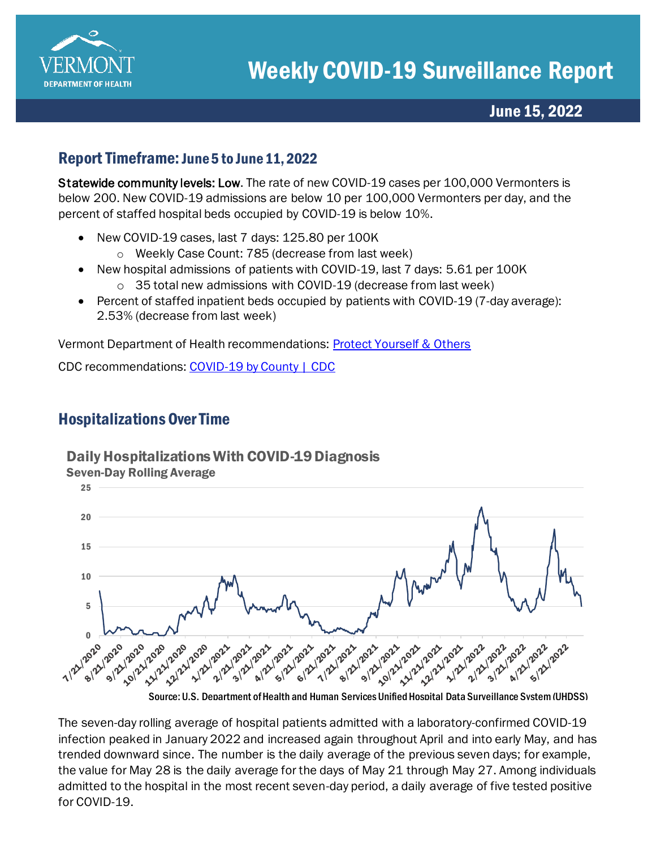

## June 15, 2022

#### Report Timeframe: June 5 to June 11, 2022

Statewide community levels: Low. The rate of new COVID-19 cases per 100,000 Vermonters is below 200. New COVID-19 admissions are below 10 per 100,000 Vermonters per day, and the percent of staffed hospital beds occupied by COVID-19 is below 10%.

- New COVID-19 cases, last 7 days: 125.80 per 100K
	- o Weekly Case Count: 785 (decrease from last week)
- New hospital admissions of patients with COVID-19, last 7 days: 5.61 per 100K
	- o 35 total new admissions with COVID-19 (decrease from last week)
- Percent of staffed inpatient beds occupied by patients with COVID-19 (7-day average): 2.53% (decrease from last week)

Vermont Department of Health recommendations: [Protect Yourself & Others](https://www.healthvermont.gov/covid-19/protect-yourself-others) 

CDC recommendations[: COVID-19 by County | CDC](https://www.cdc.gov/coronavirus/2019-ncov/your-health/covid-by-county.html)

# Hospitalizations Over Time

### Daily Hospitalizations With COVID-19 Diagnosis



The seven-day rolling average of hospital patients admitted with a laboratory-confirmed COVID-19 infection peaked in January 2022 and increased again throughout April and into early May, and has trended downward since. The number is the daily average of the previous seven days; for example, the value for May 28 is the daily average for the days of May 21 through May 27. Among individuals admitted to the hospital in the most recent seven-day period, a daily average of five tested positive for COVID-19.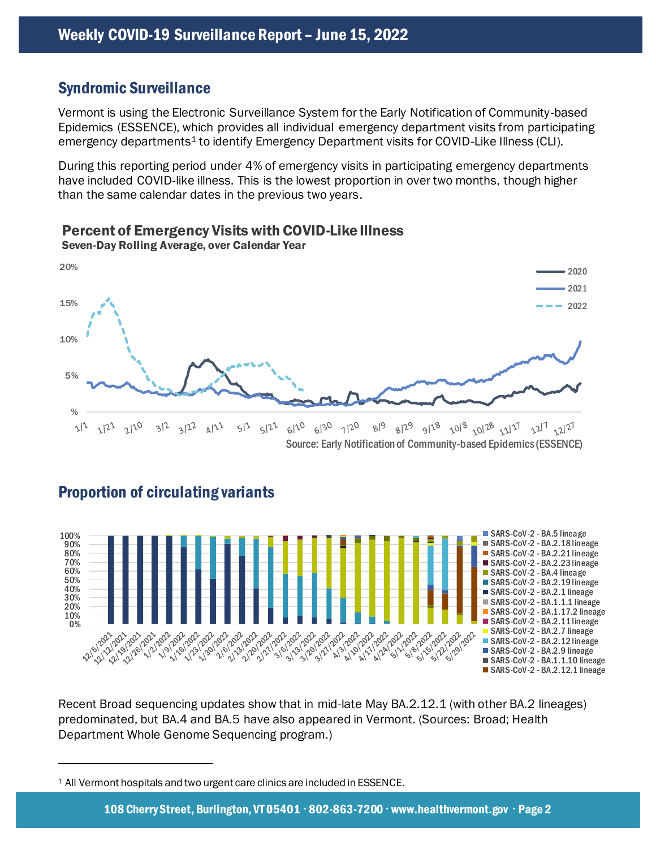### Syndromic Surveillance

Vermont is using the Electronic Surveillance System for the Early Notification of Community-based Epidemics (ESSENCE), which provides all individual emergency department visits from participating emergency departments<sup>1</sup> to identify Emergency Department visits for COVID-Like Illness (CLI).

During this reporting period under 4% of emergency visits in participating emergency departments have included COVID-like illness. This is the lowest proportion in over two months, though higher than the same calendar dates in the previous two years.



Percent of Emergency Visits with COVID-Like Illness Seven-Day Rolling Average, over Calendar Year



#### Proportion of circulating variants



Recent Broad sequencing updates show that in mid-late May BA.2.12.1 (with other BA.2 lineages) predominated, but BA.4 and BA.5 have also appeared in Vermont. (Sources: Broad; Health Department Whole Genome Sequencing program.)

*<sup>1</sup>* All Vermont hospitals and two urgent care clinics are included in ESSENCE.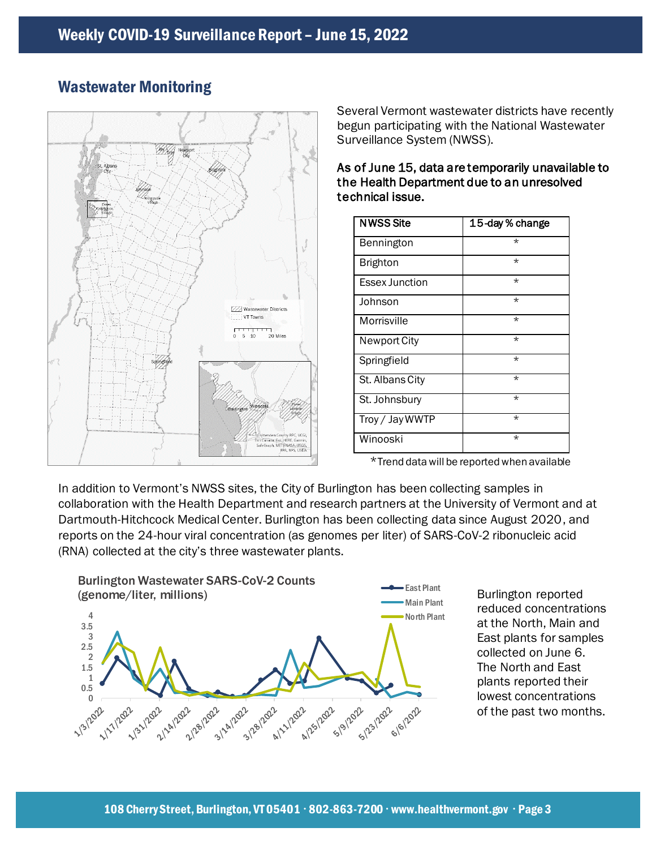

### Wastewater Monitoring

Several Vermont wastewater districts have recently begun participating with the National Wastewater Surveillance System (NWSS).

| <b>NWSS Site</b>      | 15-day % change |
|-----------------------|-----------------|
| Bennington            | $\star$         |
| <b>Brighton</b>       | $\star$         |
| <b>Essex Junction</b> | $\star$         |
| Johnson               | $\star$         |
| Morrisville           | $\star$         |
| <b>Newport City</b>   | $\star$         |
| Springfield           | $\star$         |
| St. Albans City       | $\star$         |
| St. Johnsbury         | $\star$         |
| Troy / Jay WWTP       | $\star$         |
| Winooski              | $\star$         |

As of June 15, data are temporarily unavailable to the Health Department due to an unresolved technical issue.

\*Trend data will be reported when available

In addition to Vermont's NWSS sites, the City of Burlington has been collecting samples in collaboration with the Health Department and research partners at the University of Vermont and at Dartmouth-Hitchcock Medical Center. Burlington has been collecting data since August 2020, and reports on the 24-hour viral concentration (as genomes per liter) of SARS-CoV-2 ribonucleic acid (RNA) collected at the city's three wastewater plants.



Burlington reported reduced concentrations at the North, Main and East plants for samples collected on June 6. The North and East plants reported their lowest concentrations of the past two months.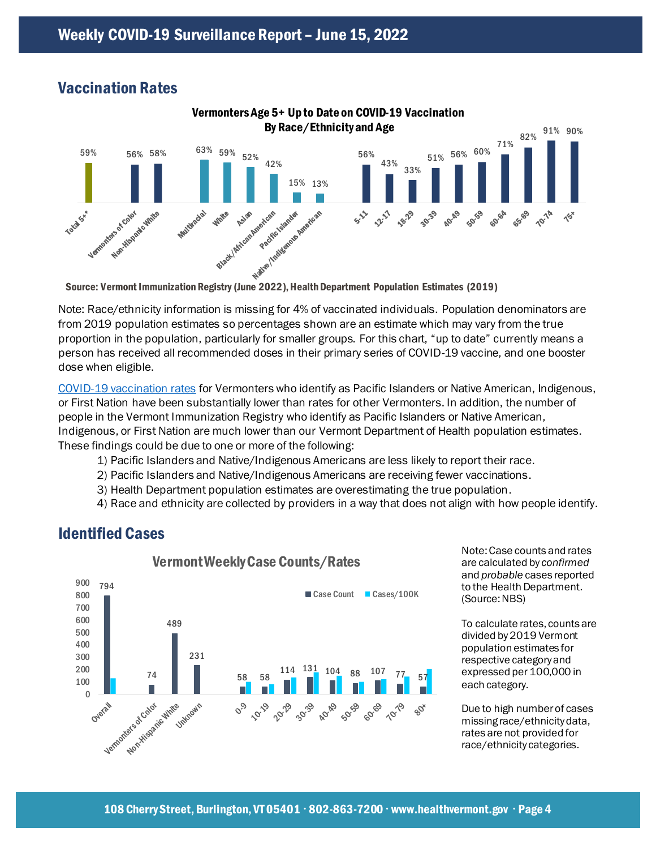# Vaccination Rates



Note: Race/ethnicity information is missing for 4% of vaccinated individuals. Population denominators are from 2019 population estimates so percentages shown are an estimate which may vary from the true proportion in the population, particularly for smaller groups. For this chart, "up to date" currently means a person has received all recommended doses in their primary series of COVID-19 vaccine, and one booster dose when eligible.

[COVID-19 vaccination rates](https://www.healthvermont.gov/covid-19/vaccine/covid-19-vaccine-dashboard) for Vermonters who identify as Pacific Islanders or Native American, Indigenous, or First Nation have been substantially lower than rates for other Vermonters. In addition, the number of people in the Vermont Immunization Registry who identify as Pacific Islanders or Native American, Indigenous, or First Nation are much lower than our Vermont Department of Health population estimates. These findings could be due to one or more of the following:

- 1) Pacific Islanders and Native/Indigenous Americans are less likely to report their race.
- 2) Pacific Islanders and Native/Indigenous Americans are receiving fewer vaccinations.
- 3) Health Department population estimates are overestimating the true population.
- 4) Race and ethnicity are collected by providers in a way that does not align with how people identify.



Identified Cases

Note: Case counts and rates are calculated by *confirmed* and *probable* cases reported to the Health Department. (Source: NBS)

To calculate rates, counts are divided by 2019 Vermont population estimates for respective category and expressed per 100,000 in each category.

Due to high number of cases missing race/ethnicity data, rates are not provided for race/ethnicity categories.